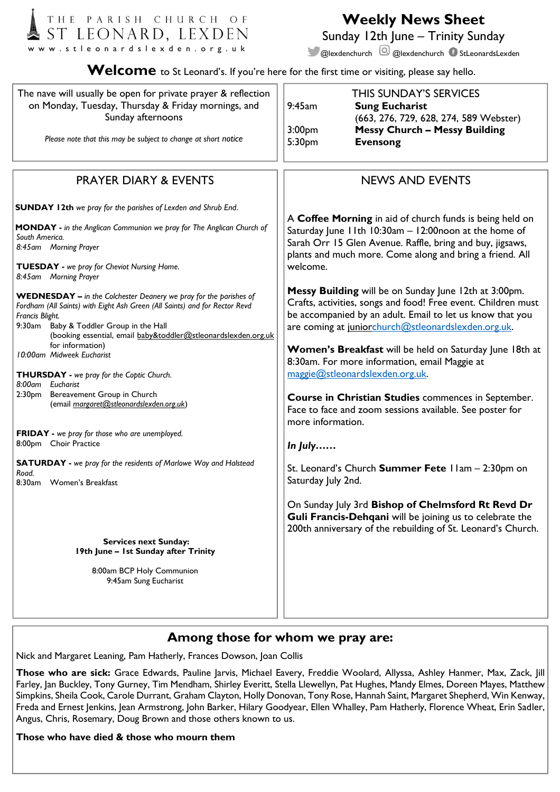

# **Weekly News Sheet**

Sunday 12th June – Trinity Sunday

**@lexdenchurch @** @lexdenchurch C StLeonardsLexden

Welcome to St Leonard's. If you're here for the first time or visiting, please say hello.

| The nave will usually be open for private prayer & reflection<br>on Monday, Tuesday, Thursday & Friday mornings, and<br>Sunday afternoons<br>Please note that this may be subject to change at short notice                                                                                                                                                                                                                                                                                                                                                                                                                                                                                                                                                                                                                                                                                                                                                                                                            | <b>THIS SUNDAY'S SERVICES</b><br>9:45am<br><b>Sung Eucharist</b><br>(663, 276, 729, 628, 274, 589 Webster)<br><b>Messy Church - Messy Building</b><br>3:00 <sub>pm</sub><br>5:30pm<br><b>Evensong</b>                                                                                                                                                                                                                                                                                                                                                                                                                                                                                                                                                                                                                                                                                                                                                                                                                                                                                                 |
|------------------------------------------------------------------------------------------------------------------------------------------------------------------------------------------------------------------------------------------------------------------------------------------------------------------------------------------------------------------------------------------------------------------------------------------------------------------------------------------------------------------------------------------------------------------------------------------------------------------------------------------------------------------------------------------------------------------------------------------------------------------------------------------------------------------------------------------------------------------------------------------------------------------------------------------------------------------------------------------------------------------------|-------------------------------------------------------------------------------------------------------------------------------------------------------------------------------------------------------------------------------------------------------------------------------------------------------------------------------------------------------------------------------------------------------------------------------------------------------------------------------------------------------------------------------------------------------------------------------------------------------------------------------------------------------------------------------------------------------------------------------------------------------------------------------------------------------------------------------------------------------------------------------------------------------------------------------------------------------------------------------------------------------------------------------------------------------------------------------------------------------|
| <b>PRAYER DIARY &amp; EVENTS</b><br><b>SUNDAY 12th</b> we pray for the parishes of Lexden and Shrub End.<br>MONDAY - in the Anglican Communion we pray for The Anglican Church of<br>South America.<br>8:45am Morning Prayer<br><b>TUESDAY</b> - we pray for Cheviot Nursing Home.<br>8:45am Morning Prayer<br><b>WEDNESDAY</b> - in the Colchester Deanery we pray for the parishes of<br>Fordham (All Saints) with Eight Ash Green (All Saints) and for Rector Revd<br>Francis Blight.<br>9:30am Baby & Toddler Group in the Hall<br>(booking essential, email baby&toddler@stleonardslexden.org.uk<br>for information)<br>10:00am Midweek Eucharist<br>THURSDAY - we pray for the Coptic Church.<br>8:00am Eucharist<br>2:30 <sub>pm</sub><br>Bereavement Group in Church<br>(email margaret@stleonardslexden.org.uk)<br>FRIDAY - we pray for those who are unemployed.<br>8:00pm Choir Practice<br><b>SATURDAY</b> - we pray for the residents of Marlowe Way and Halstead<br>Road.<br>8:30am<br>Women's Breakfast | <b>NEWS AND EVENTS</b><br>A Coffee Morning in aid of church funds is being held on<br>Saturday June 11th 10:30am - 12:00noon at the home of<br>Sarah Orr 15 Glen Avenue. Raffle, bring and buy, jigsaws,<br>plants and much more. Come along and bring a friend. All<br>welcome.<br>Messy Building will be on Sunday June 12th at 3:00pm.<br>Crafts, activities, songs and food! Free event. Children must<br>be accompanied by an adult. Email to let us know that you<br>are coming at juniorchurch@stleonardslexden.org.uk.<br>Women's Breakfast will be held on Saturday June 18th at<br>8:30am. For more information, email Maggie at<br>maggie@stleonardslexden.org.uk.<br>Course in Christian Studies commences in September.<br>Face to face and zoom sessions available. See poster for<br>more information.<br>In July $\dots$<br>St. Leonard's Church Summer Fete IIam - 2:30pm on<br>Saturday July 2nd.<br>On Sunday July 3rd Bishop of Chelmsford Rt Revd Dr<br>Guli Francis-Dehqani will be joining us to celebrate the<br>200th anniversary of the rebuilding of St. Leonard's Church. |
| <b>Services next Sunday:</b><br>19th June - 1st Sunday after Trinity<br>8:00am BCP Holy Communion<br>9:45am Sung Eucharist                                                                                                                                                                                                                                                                                                                                                                                                                                                                                                                                                                                                                                                                                                                                                                                                                                                                                             |                                                                                                                                                                                                                                                                                                                                                                                                                                                                                                                                                                                                                                                                                                                                                                                                                                                                                                                                                                                                                                                                                                       |

## **Among those for whom we pray are:**

Nick and Margaret Leaning, Pam Hatherly, Frances Dowson, Joan Collis

**Those who are sick:** Grace Edwards, Pauline Jarvis, Michael Eavery, Freddie Woolard, Allyssa, Ashley Hanmer, Max, Zack, Jill Farley, Jan Buckley, Tony Gurney, Tim Mendham, Shirley Everitt, Stella Llewellyn, Pat Hughes, Mandy Elmes, Doreen Mayes, Matthew Simpkins, Sheila Cook, Carole Durrant, Graham Clayton, Holly Donovan, Tony Rose, Hannah Saint, Margaret Shepherd, Win Kenway, Freda and Ernest Jenkins, Jean Armstrong, John Barker, Hilary Goodyear, Ellen Whalley, Pam Hatherly, Florence Wheat, Erin Sadler, Angus, Chris, Rosemary, Doug Brown and those others known to us.

#### **Those who have died & those who mourn them**